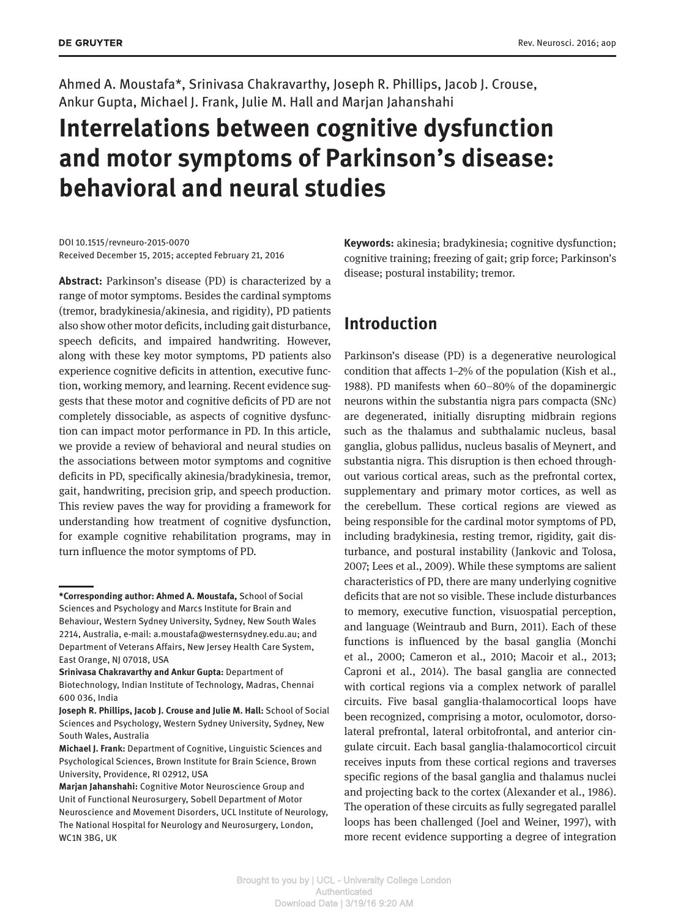Ahmed A. Moustafa\*, Srinivasa Chakravarthy, Joseph R. Phillips, Jacob J. Crouse, Ankur Gupta, Michael J. Frank, Julie M. Hall and Marjan Jahanshahi

# **Interrelations between cognitive dysfunction and motor symptoms of Parkinson's disease: behavioral and neural studies**

DOI 10.1515/revneuro-2015-0070 Received December 15, 2015; accepted February 21, 2016

**Abstract:** Parkinson's disease (PD) is characterized by a range of motor symptoms. Besides the cardinal symptoms (tremor, bradykinesia/akinesia, and rigidity), PD patients also show other motor deficits, including gait disturbance, speech deficits, and impaired handwriting. However, along with these key motor symptoms, PD patients also experience cognitive deficits in attention, executive function, working memory, and learning. Recent evidence suggests that these motor and cognitive deficits of PD are not completely dissociable, as aspects of cognitive dysfunction can impact motor performance in PD. In this article, we provide a review of behavioral and neural studies on the associations between motor symptoms and cognitive deficits in PD, specifically akinesia/bradykinesia, tremor, gait, handwriting, precision grip, and speech production. This review paves the way for providing a framework for understanding how treatment of cognitive dysfunction, for example cognitive rehabilitation programs, may in turn influence the motor symptoms of PD.

**Keywords:** akinesia; bradykinesia; cognitive dysfunction; cognitive training; freezing of gait; grip force; Parkinson's disease; postural instability; tremor.

# **Introduction**

Parkinson's disease (PD) is a degenerative neurological condition that affects 1–2% of the population (Kish et al., 1988). PD manifests when 60–80% of the dopaminergic neurons within the substantia nigra pars compacta (SNc) are degenerated, initially disrupting midbrain regions such as the thalamus and subthalamic nucleus, basal ganglia, globus pallidus, nucleus basalis of Meynert, and substantia nigra. This disruption is then echoed throughout various cortical areas, such as the prefrontal cortex, supplementary and primary motor cortices, as well as the cerebellum. These cortical regions are viewed as being responsible for the cardinal motor symptoms of PD, including bradykinesia, resting tremor, rigidity, gait disturbance, and postural instability (Jankovic and Tolosa, 2007; Lees et al., 2009). While these symptoms are salient characteristics of PD, there are many underlying cognitive deficits that are not so visible. These include disturbances to memory, executive function, visuospatial perception, and language (Weintraub and Burn, 2011). Each of these functions is influenced by the basal ganglia (Monchi et al., 2000; Cameron et al., 2010; Macoir et al., 2013; Caproni et al., 2014). The basal ganglia are connected with cortical regions via a complex network of parallel circuits. Five basal ganglia-thalamocortical loops have been recognized, comprising a motor, oculomotor, dorsolateral prefrontal, lateral orbitofrontal, and anterior cingulate circuit. Each basal ganglia-thalamocorticol circuit receives inputs from these cortical regions and traverses specific regions of the basal ganglia and thalamus nuclei and projecting back to the cortex (Alexander et al., 1986). The operation of these circuits as fully segregated parallel loops has been challenged (Joel and Weiner, 1997), with more recent evidence supporting a degree of integration

**<sup>\*</sup>Corresponding author: Ahmed A. Moustafa,** School of Social Sciences and Psychology and Marcs Institute for Brain and Behaviour, Western Sydney University, Sydney, New South Wales 2214, Australia, e-mail: a.moustafa@westernsydney.edu.au; and Department of Veterans Affairs, New Jersey Health Care System, East Orange, NJ 07018, USA

**Srinivasa Chakravarthy and Ankur Gupta:** Department of Biotechnology, Indian Institute of Technology, Madras, Chennai 600 036, India

**Joseph R. Phillips, Jacob J. Crouse and Julie M. Hall:** School of Social Sciences and Psychology, Western Sydney University, Sydney, New South Wales, Australia

**Michael J. Frank:** Department of Cognitive, Linguistic Sciences and Psychological Sciences, Brown Institute for Brain Science, Brown University, Providence, RI 02912, USA

**Marjan Jahanshahi:** Cognitive Motor Neuroscience Group and Unit of Functional Neurosurgery, Sobell Department of Motor Neuroscience and Movement Disorders, UCL Institute of Neurology, The National Hospital for Neurology and Neurosurgery, London, WC1N 3BG, UK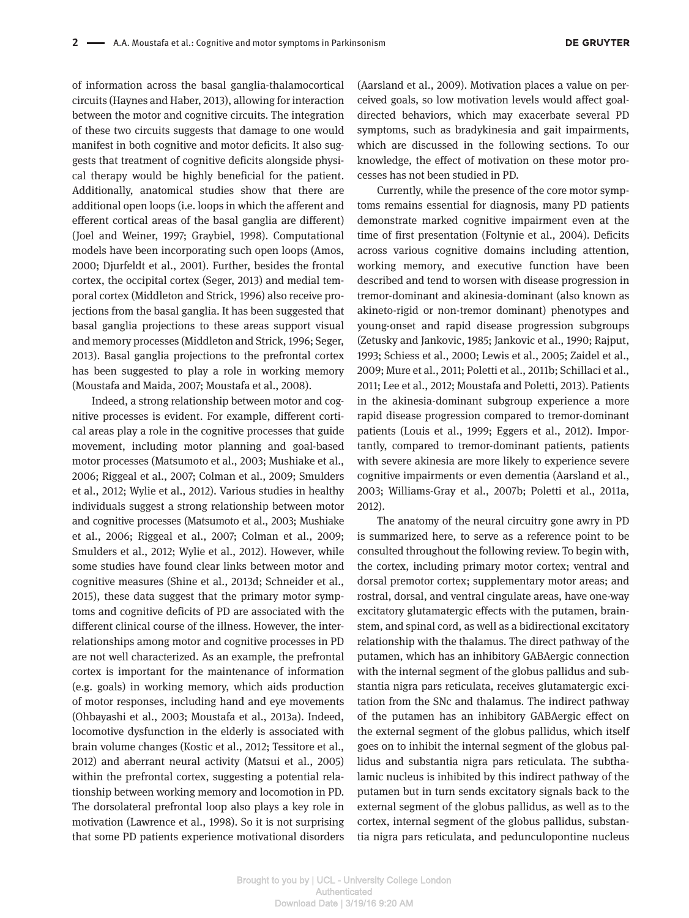of information across the basal ganglia-thalamocortical circuits (Haynes and Haber, 2013), allowing for interaction between the motor and cognitive circuits. The integration of these two circuits suggests that damage to one would manifest in both cognitive and motor deficits. It also suggests that treatment of cognitive deficits alongside physical therapy would be highly beneficial for the patient. Additionally, anatomical studies show that there are additional open loops (i.e. loops in which the afferent and efferent cortical areas of the basal ganglia are different) (Joel and Weiner, 1997; Graybiel, 1998). Computational models have been incorporating such open loops (Amos, 2000; Djurfeldt et al., 2001). Further, besides the frontal cortex, the occipital cortex (Seger, 2013) and medial temporal cortex (Middleton and Strick, 1996) also receive projections from the basal ganglia. It has been suggested that basal ganglia projections to these areas support visual and memory processes (Middleton and Strick, 1996; Seger, 2013). Basal ganglia projections to the prefrontal cortex has been suggested to play a role in working memory (Moustafa and Maida, 2007; Moustafa et al., 2008).

Indeed, a strong relationship between motor and cognitive processes is evident. For example, different cortical areas play a role in the cognitive processes that guide movement, including motor planning and goal-based motor processes (Matsumoto et al., 2003; Mushiake et al., 2006; Riggeal et al., 2007; Colman et al., 2009; Smulders et al., 2012; Wylie et al., 2012). Various studies in healthy individuals suggest a strong relationship between motor and cognitive processes (Matsumoto et al., 2003; Mushiake et al., 2006; Riggeal et al., 2007; Colman et al., 2009; Smulders et al., 2012; Wylie et al., 2012). However, while some studies have found clear links between motor and cognitive measures (Shine et al., 2013d; Schneider et al., 2015), these data suggest that the primary motor symptoms and cognitive deficits of PD are associated with the different clinical course of the illness. However, the interrelationships among motor and cognitive processes in PD are not well characterized. As an example, the prefrontal cortex is important for the maintenance of information (e.g. goals) in working memory, which aids production of motor responses, including hand and eye movements (Ohbayashi et al., 2003; Moustafa et al., 2013a). Indeed, locomotive dysfunction in the elderly is associated with brain volume changes (Kostic et al., 2012; Tessitore et al., 2012) and aberrant neural activity (Matsui et al., 2005) within the prefrontal cortex, suggesting a potential relationship between working memory and locomotion in PD. The dorsolateral prefrontal loop also plays a key role in motivation (Lawrence et al., 1998). So it is not surprising that some PD patients experience motivational disorders

(Aarsland et al., 2009). Motivation places a value on perceived goals, so low motivation levels would affect goaldirected behaviors, which may exacerbate several PD symptoms, such as bradykinesia and gait impairments, which are discussed in the following sections. To our knowledge, the effect of motivation on these motor processes has not been studied in PD.

Currently, while the presence of the core motor symptoms remains essential for diagnosis, many PD patients demonstrate marked cognitive impairment even at the time of first presentation (Foltynie et al., 2004). Deficits across various cognitive domains including attention, working memory, and executive function have been described and tend to worsen with disease progression in tremor-dominant and akinesia-dominant (also known as akineto-rigid or non-tremor dominant) phenotypes and young-onset and rapid disease progression subgroups (Zetusky and Jankovic, 1985; Jankovic et al., 1990; Rajput, 1993; Schiess et al., 2000; Lewis et al., 2005; Zaidel et al., 2009; Mure et al., 2011; Poletti et al., 2011b; Schillaci et al., 2011; Lee et al., 2012; Moustafa and Poletti, 2013). Patients in the akinesia-dominant subgroup experience a more rapid disease progression compared to tremor-dominant patients (Louis et al., 1999; Eggers et al., 2012). Importantly, compared to tremor-dominant patients, patients with severe akinesia are more likely to experience severe cognitive impairments or even dementia (Aarsland et al., 2003; Williams-Gray et al., 2007b; Poletti et al., 2011a, 2012).

The anatomy of the neural circuitry gone awry in PD is summarized here, to serve as a reference point to be consulted throughout the following review. To begin with, the cortex, including primary motor cortex; ventral and dorsal premotor cortex; supplementary motor areas; and rostral, dorsal, and ventral cingulate areas, have one-way excitatory glutamatergic effects with the putamen, brainstem, and spinal cord, as well as a bidirectional excitatory relationship with the thalamus. The direct pathway of the putamen, which has an inhibitory GABAergic connection with the internal segment of the globus pallidus and substantia nigra pars reticulata, receives glutamatergic excitation from the SNc and thalamus. The indirect pathway of the putamen has an inhibitory GABAergic effect on the external segment of the globus pallidus, which itself goes on to inhibit the internal segment of the globus pallidus and substantia nigra pars reticulata. The subthalamic nucleus is inhibited by this indirect pathway of the putamen but in turn sends excitatory signals back to the external segment of the globus pallidus, as well as to the cortex, internal segment of the globus pallidus, substantia nigra pars reticulata, and pedunculopontine nucleus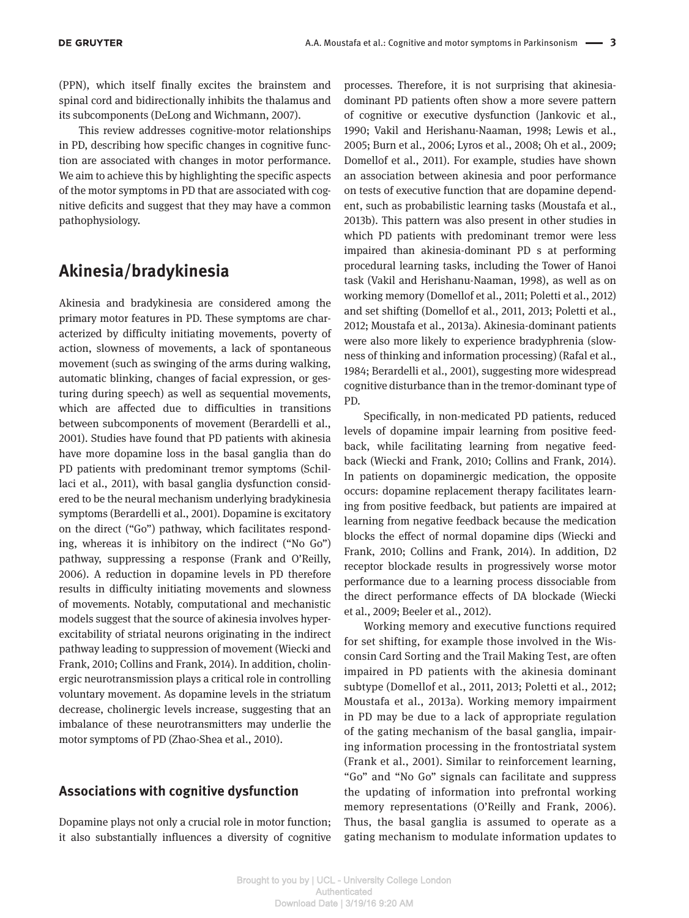(PPN), which itself finally excites the brainstem and spinal cord and bidirectionally inhibits the thalamus and its subcomponents (DeLong and Wichmann, 2007).

This review addresses cognitive-motor relationships in PD, describing how specific changes in cognitive function are associated with changes in motor performance. We aim to achieve this by highlighting the specific aspects of the motor symptoms in PD that are associated with cognitive deficits and suggest that they may have a common pathophysiology.

### **Akinesia/bradykinesia**

Akinesia and bradykinesia are considered among the primary motor features in PD. These symptoms are characterized by difficulty initiating movements, poverty of action, slowness of movements, a lack of spontaneous movement (such as swinging of the arms during walking, automatic blinking, changes of facial expression, or gesturing during speech) as well as sequential movements, which are affected due to difficulties in transitions between subcomponents of movement (Berardelli et al., 2001). Studies have found that PD patients with akinesia have more dopamine loss in the basal ganglia than do PD patients with predominant tremor symptoms (Schillaci et al., 2011), with basal ganglia dysfunction considered to be the neural mechanism underlying bradykinesia symptoms (Berardelli et al., 2001). Dopamine is excitatory on the direct ("Go") pathway, which facilitates responding, whereas it is inhibitory on the indirect ("No Go") pathway, suppressing a response (Frank and O'Reilly, 2006). A reduction in dopamine levels in PD therefore results in difficulty initiating movements and slowness of movements. Notably, computational and mechanistic models suggest that the source of akinesia involves hyperexcitability of striatal neurons originating in the indirect pathway leading to suppression of movement (Wiecki and Frank, 2010; Collins and Frank, 2014). In addition, cholinergic neurotransmission plays a critical role in controlling voluntary movement. As dopamine levels in the striatum decrease, cholinergic levels increase, suggesting that an imbalance of these neurotransmitters may underlie the motor symptoms of PD (Zhao-Shea et al., 2010).

### **Associations with cognitive dysfunction**

Dopamine plays not only a crucial role in motor function; it also substantially influences a diversity of cognitive

processes. Therefore, it is not surprising that akinesiadominant PD patients often show a more severe pattern of cognitive or executive dysfunction (Jankovic et al., 1990; Vakil and Herishanu-Naaman, 1998; Lewis et al., 2005; Burn et al., 2006; Lyros et al., 2008; Oh et al., 2009; Domellof et al., 2011). For example, studies have shown an association between akinesia and poor performance on tests of executive function that are dopamine dependent, such as probabilistic learning tasks (Moustafa et al., 2013b). This pattern was also present in other studies in which PD patients with predominant tremor were less impaired than akinesia-dominant PD s at performing procedural learning tasks, including the Tower of Hanoi task (Vakil and Herishanu-Naaman, 1998), as well as on working memory (Domellof et al., 2011; Poletti et al., 2012) and set shifting (Domellof et al., 2011, 2013; Poletti et al., 2012; Moustafa et al., 2013a). Akinesia-dominant patients were also more likely to experience bradyphrenia (slowness of thinking and information processing) (Rafal et al., 1984; Berardelli et al., 2001), suggesting more widespread cognitive disturbance than in the tremor-dominant type of PD.

Specifically, in non-medicated PD patients, reduced levels of dopamine impair learning from positive feedback, while facilitating learning from negative feedback (Wiecki and Frank, 2010; Collins and Frank, 2014). In patients on dopaminergic medication, the opposite occurs: dopamine replacement therapy facilitates learning from positive feedback, but patients are impaired at learning from negative feedback because the medication blocks the effect of normal dopamine dips (Wiecki and Frank, 2010; Collins and Frank, 2014). In addition, D2 receptor blockade results in progressively worse motor performance due to a learning process dissociable from the direct performance effects of DA blockade (Wiecki et al., 2009; Beeler et al., 2012).

Working memory and executive functions required for set shifting, for example those involved in the Wisconsin Card Sorting and the Trail Making Test, are often impaired in PD patients with the akinesia dominant subtype (Domellof et al., 2011, 2013; Poletti et al., 2012; Moustafa et al., 2013a). Working memory impairment in PD may be due to a lack of appropriate regulation of the gating mechanism of the basal ganglia, impairing information processing in the frontostriatal system (Frank et al., 2001). Similar to reinforcement learning, "Go" and "No Go" signals can facilitate and suppress the updating of information into prefrontal working memory representations (O'Reilly and Frank, 2006). Thus, the basal ganglia is assumed to operate as a gating mechanism to modulate information updates to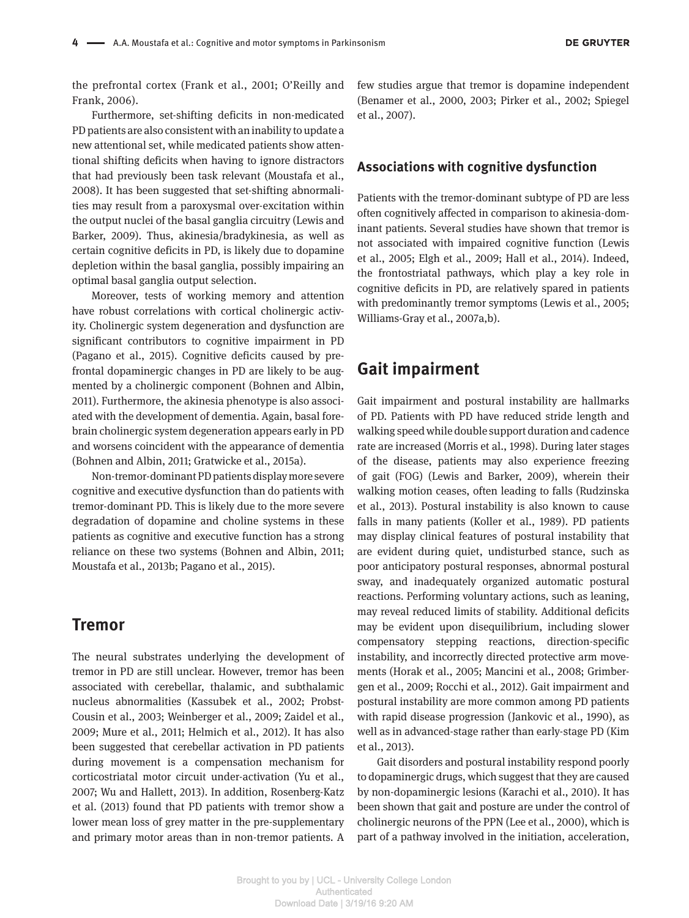the prefrontal cortex (Frank et al., 2001; O'Reilly and Frank, 2006).

Furthermore, set-shifting deficits in non-medicated PD patients are also consistent with an inability to update a new attentional set, while medicated patients show attentional shifting deficits when having to ignore distractors that had previously been task relevant (Moustafa et al., 2008). It has been suggested that set-shifting abnormalities may result from a paroxysmal over-excitation within the output nuclei of the basal ganglia circuitry (Lewis and Barker, 2009). Thus, akinesia/bradykinesia, as well as certain cognitive deficits in PD, is likely due to dopamine depletion within the basal ganglia, possibly impairing an optimal basal ganglia output selection.

Moreover, tests of working memory and attention have robust correlations with cortical cholinergic activity. Cholinergic system degeneration and dysfunction are significant contributors to cognitive impairment in PD (Pagano et al., 2015). Cognitive deficits caused by prefrontal dopaminergic changes in PD are likely to be augmented by a cholinergic component (Bohnen and Albin, 2011). Furthermore, the akinesia phenotype is also associated with the development of dementia. Again, basal forebrain cholinergic system degeneration appears early in PD and worsens coincident with the appearance of dementia (Bohnen and Albin, 2011; Gratwicke et al., 2015a).

Non-tremor-dominant PD patients display more severe cognitive and executive dysfunction than do patients with tremor-dominant PD. This is likely due to the more severe degradation of dopamine and choline systems in these patients as cognitive and executive function has a strong reliance on these two systems (Bohnen and Albin, 2011; Moustafa et al., 2013b; Pagano et al., 2015).

### **Tremor**

The neural substrates underlying the development of tremor in PD are still unclear. However, tremor has been associated with cerebellar, thalamic, and subthalamic nucleus abnormalities (Kassubek et al., 2002; Probst-Cousin et al., 2003; Weinberger et al., 2009; Zaidel et al., 2009; Mure et al., 2011; Helmich et al., 2012). It has also been suggested that cerebellar activation in PD patients during movement is a compensation mechanism for corticostriatal motor circuit under-activation (Yu et al., 2007; Wu and Hallett, 2013). In addition, Rosenberg-Katz et al. (2013) found that PD patients with tremor show a lower mean loss of grey matter in the pre-supplementary and primary motor areas than in non-tremor patients. A

few studies argue that tremor is dopamine independent (Benamer et al., 2000, 2003; Pirker et al., 2002; Spiegel et al., 2007).

#### **Associations with cognitive dysfunction**

Patients with the tremor-dominant subtype of PD are less often cognitively affected in comparison to akinesia-dominant patients. Several studies have shown that tremor is not associated with impaired cognitive function (Lewis et al., 2005; Elgh et al., 2009; Hall et al., 2014). Indeed, the frontostriatal pathways, which play a key role in cognitive deficits in PD, are relatively spared in patients with predominantly tremor symptoms (Lewis et al., 2005; Williams-Gray et al., 2007a,b).

### **Gait impairment**

Gait impairment and postural instability are hallmarks of PD. Patients with PD have reduced stride length and walking speed while double support duration and cadence rate are increased (Morris et al., 1998). During later stages of the disease, patients may also experience freezing of gait (FOG) (Lewis and Barker, 2009), wherein their walking motion ceases, often leading to falls (Rudzinska et al., 2013). Postural instability is also known to cause falls in many patients (Koller et al., 1989). PD patients may display clinical features of postural instability that are evident during quiet, undisturbed stance, such as poor anticipatory postural responses, abnormal postural sway, and inadequately organized automatic postural reactions. Performing voluntary actions, such as leaning, may reveal reduced limits of stability. Additional deficits may be evident upon disequilibrium, including slower compensatory stepping reactions, direction-specific instability, and incorrectly directed protective arm movements (Horak et al., 2005; Mancini et al., 2008; Grimbergen et al., 2009; Rocchi et al., 2012). Gait impairment and postural instability are more common among PD patients with rapid disease progression (Jankovic et al., 1990), as well as in advanced-stage rather than early-stage PD (Kim et al., 2013).

Gait disorders and postural instability respond poorly to dopaminergic drugs, which suggest that they are caused by non-dopaminergic lesions (Karachi et al., 2010). It has been shown that gait and posture are under the control of cholinergic neurons of the PPN (Lee et al., 2000), which is part of a pathway involved in the initiation, acceleration,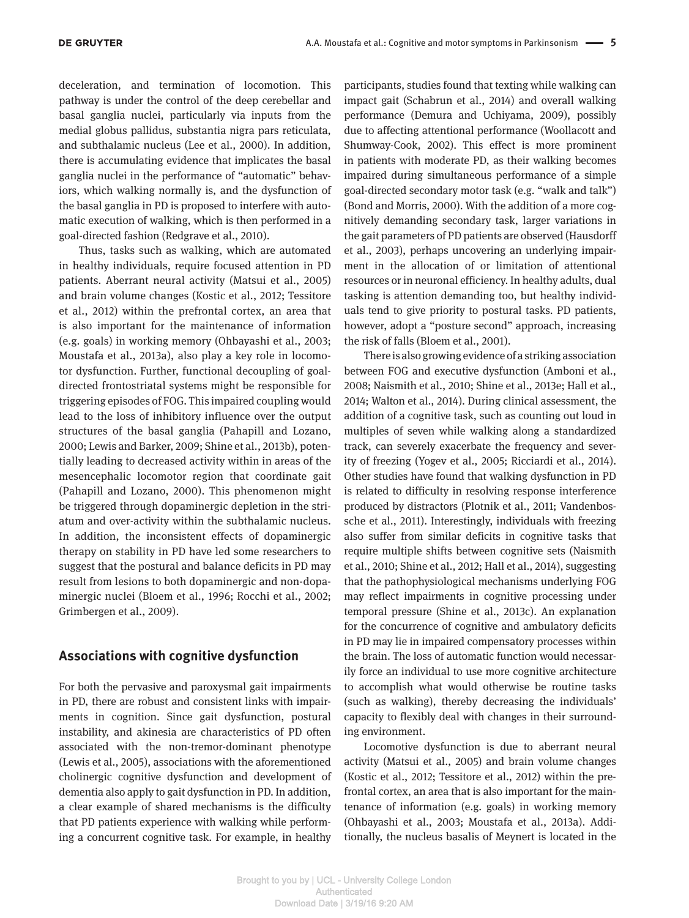deceleration, and termination of locomotion. This pathway is under the control of the deep cerebellar and basal ganglia nuclei, particularly via inputs from the medial globus pallidus, substantia nigra pars reticulata, and subthalamic nucleus (Lee et al., 2000). In addition, there is accumulating evidence that implicates the basal ganglia nuclei in the performance of "automatic" behaviors, which walking normally is, and the dysfunction of the basal ganglia in PD is proposed to interfere with automatic execution of walking, which is then performed in a goal-directed fashion (Redgrave et al., 2010).

Thus, tasks such as walking, which are automated in healthy individuals, require focused attention in PD patients. Aberrant neural activity (Matsui et al., 2005) and brain volume changes (Kostic et al., 2012; Tessitore et al., 2012) within the prefrontal cortex, an area that is also important for the maintenance of information (e.g. goals) in working memory (Ohbayashi et al., 2003; Moustafa et al., 2013a), also play a key role in locomotor dysfunction. Further, functional decoupling of goaldirected frontostriatal systems might be responsible for triggering episodes of FOG. This impaired coupling would lead to the loss of inhibitory influence over the output structures of the basal ganglia (Pahapill and Lozano, 2000; Lewis and Barker, 2009; Shine et al., 2013b), potentially leading to decreased activity within in areas of the mesencephalic locomotor region that coordinate gait (Pahapill and Lozano, 2000). This phenomenon might be triggered through dopaminergic depletion in the striatum and over-activity within the subthalamic nucleus. In addition, the inconsistent effects of dopaminergic therapy on stability in PD have led some researchers to suggest that the postural and balance deficits in PD may result from lesions to both dopaminergic and non-dopaminergic nuclei (Bloem et al., 1996; Rocchi et al., 2002; Grimbergen et al., 2009).

#### **Associations with cognitive dysfunction**

For both the pervasive and paroxysmal gait impairments in PD, there are robust and consistent links with impairments in cognition. Since gait dysfunction, postural instability, and akinesia are characteristics of PD often associated with the non-tremor-dominant phenotype (Lewis et al., 2005), associations with the aforementioned cholinergic cognitive dysfunction and development of dementia also apply to gait dysfunction in PD. In addition, a clear example of shared mechanisms is the difficulty that PD patients experience with walking while performing a concurrent cognitive task. For example, in healthy

participants, studies found that texting while walking can impact gait (Schabrun et al., 2014) and overall walking performance (Demura and Uchiyama, 2009), possibly due to affecting attentional performance (Woollacott and Shumway-Cook, 2002). This effect is more prominent in patients with moderate PD, as their walking becomes impaired during simultaneous performance of a simple goal-directed secondary motor task (e.g. "walk and talk") (Bond and Morris, 2000). With the addition of a more cognitively demanding secondary task, larger variations in the gait parameters of PD patients are observed ( Hausdorff et al., 2003), perhaps uncovering an underlying impairment in the allocation of or limitation of attentional resources or in neuronal efficiency. In healthy adults, dual tasking is attention demanding too, but healthy individuals tend to give priority to postural tasks. PD patients, however, adopt a "posture second" approach, increasing the risk of falls (Bloem et al., 2001).

There is also growing evidence of a striking association between FOG and executive dysfunction (Amboni et al., 2008; Naismith et al., 2010; Shine et al., 2013e; Hall et al., 2014; Walton et al., 2014). During clinical assessment, the addition of a cognitive task, such as counting out loud in multiples of seven while walking along a standardized track, can severely exacerbate the frequency and severity of freezing (Yogev et al., 2005; Ricciardi et al., 2014). Other studies have found that walking dysfunction in PD is related to difficulty in resolving response interference produced by distractors (Plotnik et al., 2011; Vandenbossche et al., 2011). Interestingly, individuals with freezing also suffer from similar deficits in cognitive tasks that require multiple shifts between cognitive sets (Naismith et al., 2010; Shine et al., 2012; Hall et al., 2014), suggesting that the pathophysiological mechanisms underlying FOG may reflect impairments in cognitive processing under temporal pressure (Shine et al., 2013c). An explanation for the concurrence of cognitive and ambulatory deficits in PD may lie in impaired compensatory processes within the brain. The loss of automatic function would necessarily force an individual to use more cognitive architecture to accomplish what would otherwise be routine tasks (such as walking), thereby decreasing the individuals' capacity to flexibly deal with changes in their surrounding environment.

Locomotive dysfunction is due to aberrant neural activity (Matsui et al., 2005) and brain volume changes (Kostic et al., 2012; Tessitore et al., 2012) within the prefrontal cortex, an area that is also important for the maintenance of information (e.g. goals) in working memory (Ohbayashi et al., 2003; Moustafa et al., 2013a). Additionally, the nucleus basalis of Meynert is located in the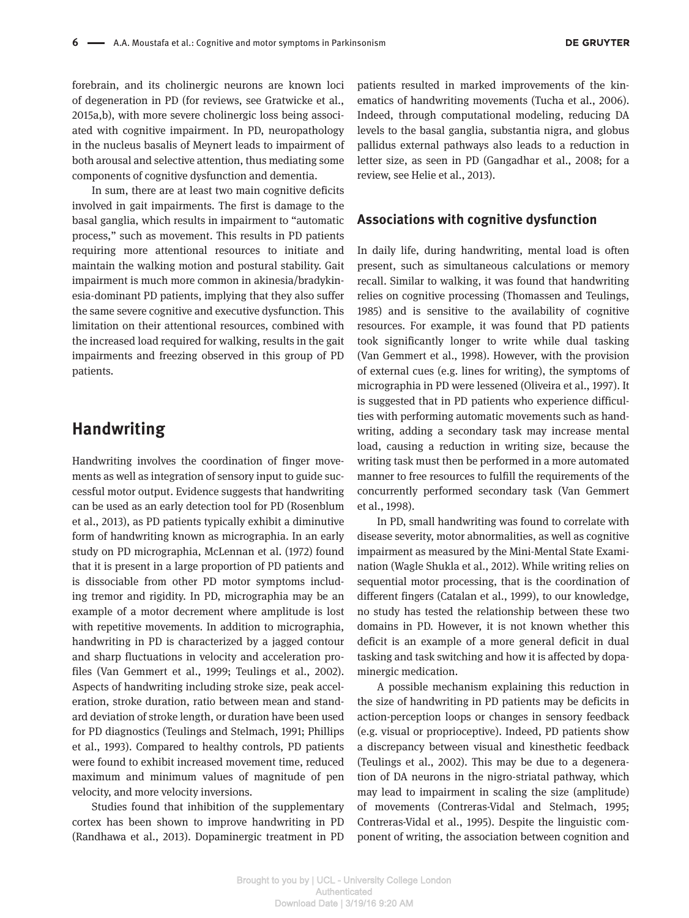forebrain, and its cholinergic neurons are known loci of degeneration in PD (for reviews, see Gratwicke et al., 2015a,b), with more severe cholinergic loss being associated with cognitive impairment. In PD, neuropathology in the nucleus basalis of Meynert leads to impairment of both arousal and selective attention, thus mediating some components of cognitive dysfunction and dementia.

In sum, there are at least two main cognitive deficits involved in gait impairments. The first is damage to the basal ganglia, which results in impairment to "automatic process," such as movement. This results in PD patients requiring more attentional resources to initiate and maintain the walking motion and postural stability. Gait impairment is much more common in akinesia/bradykinesia-dominant PD patients, implying that they also suffer the same severe cognitive and executive dysfunction. This limitation on their attentional resources, combined with the increased load required for walking, results in the gait impairments and freezing observed in this group of PD patients.

# **Handwriting**

Handwriting involves the coordination of finger movements as well as integration of sensory input to guide successful motor output. Evidence suggests that handwriting can be used as an early detection tool for PD (Rosenblum et al., 2013), as PD patients typically exhibit a diminutive form of handwriting known as micrographia. In an early study on PD micrographia, McLennan et al. (1972) found that it is present in a large proportion of PD patients and is dissociable from other PD motor symptoms including tremor and rigidity. In PD, micrographia may be an example of a motor decrement where amplitude is lost with repetitive movements. In addition to micrographia, handwriting in PD is characterized by a jagged contour and sharp fluctuations in velocity and acceleration profiles (Van Gemmert et al., 1999; Teulings et al., 2002). Aspects of handwriting including stroke size, peak acceleration, stroke duration, ratio between mean and standard deviation of stroke length, or duration have been used for PD diagnostics (Teulings and Stelmach, 1991; Phillips et al., 1993). Compared to healthy controls, PD patients were found to exhibit increased movement time, reduced maximum and minimum values of magnitude of pen velocity, and more velocity inversions.

Studies found that inhibition of the supplementary cortex has been shown to improve handwriting in PD (Randhawa et al., 2013). Dopaminergic treatment in PD patients resulted in marked improvements of the kinematics of handwriting movements (Tucha et al., 2006). Indeed, through computational modeling, reducing DA levels to the basal ganglia, substantia nigra, and globus pallidus external pathways also leads to a reduction in letter size, as seen in PD (Gangadhar et al., 2008; for a review, see Helie et al., 2013).

#### **Associations with cognitive dysfunction**

In daily life, during handwriting, mental load is often present, such as simultaneous calculations or memory recall. Similar to walking, it was found that handwriting relies on cognitive processing (Thomassen and Teulings, 1985) and is sensitive to the availability of cognitive resources. For example, it was found that PD patients took significantly longer to write while dual tasking (Van Gemmert et al., 1998). However, with the provision of external cues (e.g. lines for writing), the symptoms of micrographia in PD were lessened (Oliveira et al., 1997). It is suggested that in PD patients who experience difficulties with performing automatic movements such as handwriting, adding a secondary task may increase mental load, causing a reduction in writing size, because the writing task must then be performed in a more automated manner to free resources to fulfill the requirements of the concurrently performed secondary task (Van Gemmert et al., 1998).

In PD, small handwriting was found to correlate with disease severity, motor abnormalities, as well as cognitive impairment as measured by the Mini-Mental State Examination (Wagle Shukla et al., 2012). While writing relies on sequential motor processing, that is the coordination of different fingers (Catalan et al., 1999), to our knowledge, no study has tested the relationship between these two domains in PD. However, it is not known whether this deficit is an example of a more general deficit in dual tasking and task switching and how it is affected by dopaminergic medication.

A possible mechanism explaining this reduction in the size of handwriting in PD patients may be deficits in action-perception loops or changes in sensory feedback (e.g. visual or proprioceptive). Indeed, PD patients show a discrepancy between visual and kinesthetic feedback (Teulings et al., 2002). This may be due to a degeneration of DA neurons in the nigro-striatal pathway, which may lead to impairment in scaling the size (amplitude) of movements (Contreras-Vidal and Stelmach, 1995; Contreras-Vidal et al., 1995). Despite the linguistic component of writing, the association between cognition and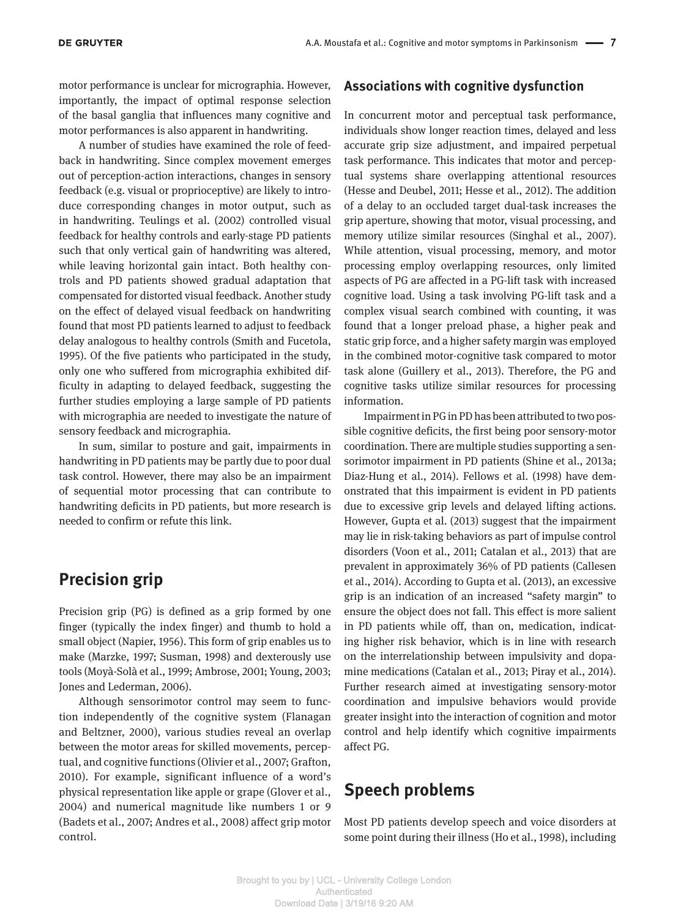motor performance is unclear for micrographia. However, importantly, the impact of optimal response selection of the basal ganglia that influences many cognitive and motor performances is also apparent in handwriting.

A number of studies have examined the role of feedback in handwriting. Since complex movement emerges out of perception-action interactions, changes in sensory feedback (e.g. visual or proprioceptive) are likely to introduce corresponding changes in motor output, such as in handwriting. Teulings et al. (2002) controlled visual feedback for healthy controls and early-stage PD patients such that only vertical gain of handwriting was altered, while leaving horizontal gain intact. Both healthy controls and PD patients showed gradual adaptation that compensated for distorted visual feedback. Another study on the effect of delayed visual feedback on handwriting found that most PD patients learned to adjust to feedback delay analogous to healthy controls (Smith and Fucetola, 1995). Of the five patients who participated in the study, only one who suffered from micrographia exhibited difficulty in adapting to delayed feedback, suggesting the further studies employing a large sample of PD patients with micrographia are needed to investigate the nature of sensory feedback and micrographia.

In sum, similar to posture and gait, impairments in handwriting in PD patients may be partly due to poor dual task control. However, there may also be an impairment of sequential motor processing that can contribute to handwriting deficits in PD patients, but more research is needed to confirm or refute this link.

# **Precision grip**

Precision grip (PG) is defined as a grip formed by one finger (typically the index finger) and thumb to hold a small object (Napier, 1956). This form of grip enables us to make (Marzke, 1997; Susman, 1998) and dexterously use tools (Moyà-Solà et al., 1999; Ambrose, 2001; Young, 2003; Jones and Lederman, 2006).

Although sensorimotor control may seem to function independently of the cognitive system (Flanagan and Beltzner, 2000), various studies reveal an overlap between the motor areas for skilled movements, perceptual, and cognitive functions (Olivier et al., 2007; Grafton, 2010). For example, significant influence of a word's physical representation like apple or grape (Glover et al., 2004) and numerical magnitude like numbers 1 or 9 (Badets et al., 2007; Andres et al., 2008) affect grip motor control.

#### **Associations with cognitive dysfunction**

In concurrent motor and perceptual task performance, individuals show longer reaction times, delayed and less accurate grip size adjustment, and impaired perpetual task performance. This indicates that motor and perceptual systems share overlapping attentional resources (Hesse and Deubel, 2011; Hesse et al., 2012). The addition of a delay to an occluded target dual-task increases the grip aperture, showing that motor, visual processing, and memory utilize similar resources (Singhal et al., 2007). While attention, visual processing, memory, and motor processing employ overlapping resources, only limited aspects of PG are affected in a PG-lift task with increased cognitive load. Using a task involving PG-lift task and a complex visual search combined with counting, it was found that a longer preload phase, a higher peak and static grip force, and a higher safety margin was employed in the combined motor-cognitive task compared to motor task alone (Guillery et al., 2013). Therefore, the PG and cognitive tasks utilize similar resources for processing information.

Impairment in PG in PD has been attributed to two possible cognitive deficits, the first being poor sensory-motor coordination. There are multiple studies supporting a sensorimotor impairment in PD patients (Shine et al., 2013a; Diaz-Hung et al., 2014). Fellows et al. (1998) have demonstrated that this impairment is evident in PD patients due to excessive grip levels and delayed lifting actions. However, Gupta et al. (2013) suggest that the impairment may lie in risk-taking behaviors as part of impulse control disorders (Voon et al., 2011; Catalan et al., 2013) that are prevalent in approximately 36% of PD patients (Callesen et al., 2014). According to Gupta et al. (2013), an excessive grip is an indication of an increased "safety margin" to ensure the object does not fall. This effect is more salient in PD patients while off, than on, medication, indicating higher risk behavior, which is in line with research on the interrelationship between impulsivity and dopamine medications (Catalan et al., 2013; Piray et al., 2014). Further research aimed at investigating sensory-motor coordination and impulsive behaviors would provide greater insight into the interaction of cognition and motor control and help identify which cognitive impairments affect PG.

# **Speech problems**

Most PD patients develop speech and voice disorders at some point during their illness (Ho et al., 1998), including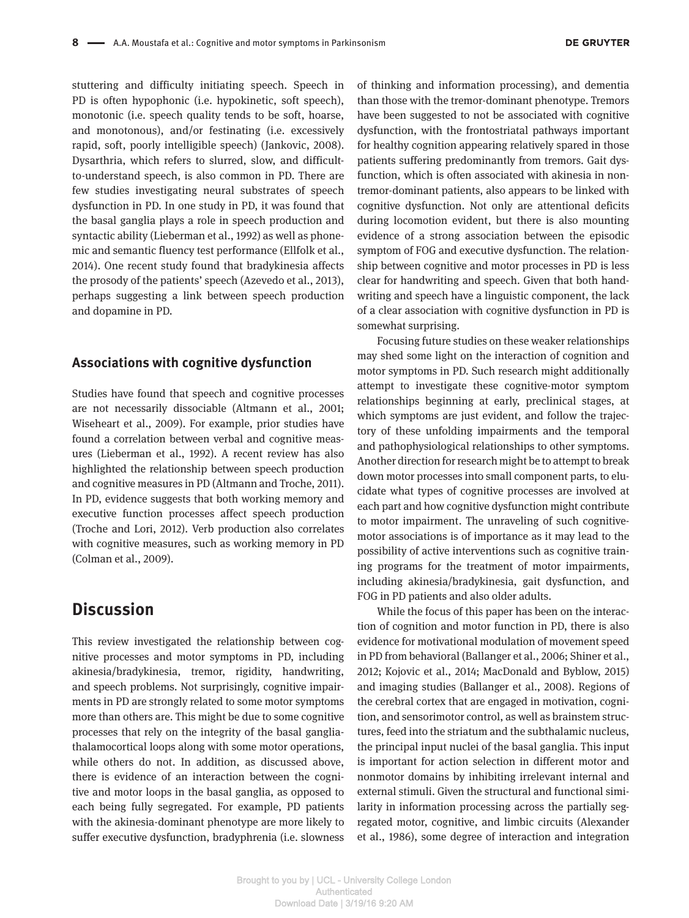stuttering and difficulty initiating speech. Speech in PD is often hypophonic (i.e. hypokinetic, soft speech), monotonic (i.e. speech quality tends to be soft, hoarse, and monotonous), and/or festinating (i.e. excessively rapid, soft, poorly intelligible speech) (Jankovic, 2008). Dysarthria, which refers to slurred, slow, and difficultto-understand speech, is also common in PD. There are few studies investigating neural substrates of speech dysfunction in PD. In one study in PD, it was found that the basal ganglia plays a role in speech production and syntactic ability (Lieberman et al., 1992) as well as phonemic and semantic fluency test performance (Ellfolk et al., 2014). One recent study found that bradykinesia affects the prosody of the patients' speech (Azevedo et al., 2013), perhaps suggesting a link between speech production and dopamine in PD.

#### **Associations with cognitive dysfunction**

Studies have found that speech and cognitive processes are not necessarily dissociable (Altmann et al., 2001; Wiseheart et al., 2009). For example, prior studies have found a correlation between verbal and cognitive measures (Lieberman et al., 1992). A recent review has also highlighted the relationship between speech production and cognitive measures in PD (Altmann and Troche, 2011). In PD, evidence suggests that both working memory and executive function processes affect speech production (Troche and Lori, 2012). Verb production also correlates with cognitive measures, such as working memory in PD (Colman et al., 2009).

### **Discussion**

This review investigated the relationship between cognitive processes and motor symptoms in PD, including akinesia/bradykinesia, tremor, rigidity, handwriting, and speech problems. Not surprisingly, cognitive impairments in PD are strongly related to some motor symptoms more than others are. This might be due to some cognitive processes that rely on the integrity of the basal gangliathalamocortical loops along with some motor operations, while others do not. In addition, as discussed above, there is evidence of an interaction between the cognitive and motor loops in the basal ganglia, as opposed to each being fully segregated. For example, PD patients with the akinesia-dominant phenotype are more likely to suffer executive dysfunction, bradyphrenia (i.e. slowness of thinking and information processing), and dementia than those with the tremor-dominant phenotype. Tremors have been suggested to not be associated with cognitive dysfunction, with the frontostriatal pathways important for healthy cognition appearing relatively spared in those patients suffering predominantly from tremors. Gait dysfunction, which is often associated with akinesia in nontremor-dominant patients, also appears to be linked with cognitive dysfunction. Not only are attentional deficits during locomotion evident, but there is also mounting evidence of a strong association between the episodic symptom of FOG and executive dysfunction. The relationship between cognitive and motor processes in PD is less clear for handwriting and speech. Given that both handwriting and speech have a linguistic component, the lack of a clear association with cognitive dysfunction in PD is somewhat surprising.

Focusing future studies on these weaker relationships may shed some light on the interaction of cognition and motor symptoms in PD. Such research might additionally attempt to investigate these cognitive-motor symptom relationships beginning at early, preclinical stages, at which symptoms are just evident, and follow the trajectory of these unfolding impairments and the temporal and pathophysiological relationships to other symptoms. Another direction for research might be to attempt to break down motor processes into small component parts, to elucidate what types of cognitive processes are involved at each part and how cognitive dysfunction might contribute to motor impairment. The unraveling of such cognitivemotor associations is of importance as it may lead to the possibility of active interventions such as cognitive training programs for the treatment of motor impairments, including akinesia/bradykinesia, gait dysfunction, and FOG in PD patients and also older adults.

While the focus of this paper has been on the interaction of cognition and motor function in PD, there is also evidence for motivational modulation of movement speed in PD from behavioral (Ballanger et al., 2006; Shiner et al., 2012; Kojovic et al., 2014; MacDonald and Byblow, 2015) and imaging studies (Ballanger et al., 2008). Regions of the cerebral cortex that are engaged in motivation, cognition, and sensorimotor control, as well as brainstem structures, feed into the striatum and the subthalamic nucleus, the principal input nuclei of the basal ganglia. This input is important for action selection in different motor and nonmotor domains by inhibiting irrelevant internal and external stimuli. Given the structural and functional similarity in information processing across the partially segregated motor, cognitive, and limbic circuits (Alexander et al., 1986), some degree of interaction and integration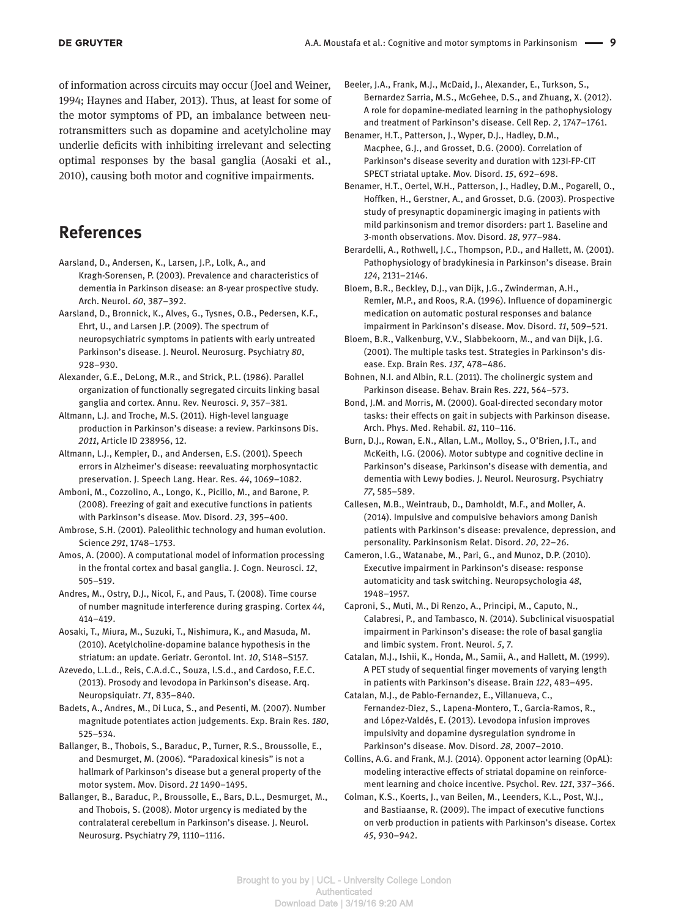of information across circuits may occur (Joel and Weiner, 1994; Haynes and Haber, 2013). Thus, at least for some of the motor symptoms of PD, an imbalance between neurotransmitters such as dopamine and acetylcholine may underlie deficits with inhibiting irrelevant and selecting optimal responses by the basal ganglia (Aosaki et al., 2010), causing both motor and cognitive impairments.

### **References**

- Aarsland, D., Andersen, K., Larsen, J.P., Lolk, A., and Kragh-Sorensen, P. (2003). Prevalence and characteristics of dementia in Parkinson disease: an 8-year prospective study. Arch. Neurol. *60*, 387–392.
- Aarsland, D., Bronnick, K., Alves, G., Tysnes, O.B., Pedersen, K.F., Ehrt, U., and Larsen J.P. (2009). The spectrum of neuropsychiatric symptoms in patients with early untreated Parkinson's disease. J. Neurol. Neurosurg. Psychiatry *80*, 928–930.
- Alexander, G.E., DeLong, M.R., and Strick, P.L. (1986). Parallel organization of functionally segregated circuits linking basal ganglia and cortex. Annu. Rev. Neurosci. *9*, 357–381.
- Altmann, L.J. and Troche, M.S. (2011). High-level language production in Parkinson's disease: a review. Parkinsons Dis. *2011*, Article ID 238956, 12.
- Altmann, L.J., Kempler, D., and Andersen, E.S. (2001). Speech errors in Alzheimer's disease: reevaluating morphosyntactic preservation. J. Speech Lang. Hear. Res. *44*, 1069–1082.
- Amboni, M., Cozzolino, A., Longo, K., Picillo, M., and Barone, P. (2008). Freezing of gait and executive functions in patients with Parkinson's disease. Mov. Disord. *23*, 395–400.
- Ambrose, S.H. (2001). Paleolithic technology and human evolution. Science *291*, 1748–1753.
- Amos, A. (2000). A computational model of information processing in the frontal cortex and basal ganglia. J. Cogn. Neurosci. *12*, 505–519.
- Andres, M., Ostry, D.J., Nicol, F., and Paus, T. (2008). Time course of number magnitude interference during grasping. Cortex *44*, 414–419.
- Aosaki, T., Miura, M., Suzuki, T., Nishimura, K., and Masuda, M. (2010). Acetylcholine-dopamine balance hypothesis in the striatum: an update. Geriatr. Gerontol. Int. *10*, S148–S157.
- Azevedo, L.L.d., Reis, C.A.d.C., Souza, I.S.d., and Cardoso, F.E.C. (2013). Prosody and levodopa in Parkinson's disease. Arq. Neuropsiquiatr. *71*, 835–840.
- Badets, A., Andres, M., Di Luca, S., and Pesenti, M. (2007). Number magnitude potentiates action judgements. Exp. Brain Res. *180*, 525–534.
- Ballanger, B., Thobois, S., Baraduc, P., Turner, R.S., Broussolle, E., and Desmurget, M. (2006). "Paradoxical kinesis" is not a hallmark of Parkinson's disease but a general property of the motor system. Mov. Disord. *21* 1490–1495.
- Ballanger, B., Baraduc, P., Broussolle, E., Bars, D.L., Desmurget, M., and Thobois, S. (2008). Motor urgency is mediated by the contralateral cerebellum in Parkinson's disease. J. Neurol. Neurosurg. Psychiatry *79*, 1110–1116.
- Beeler, J.A., Frank, M.J., McDaid, J., Alexander, E., Turkson, S., Bernardez Sarria, M.S., McGehee, D.S., and Zhuang, X. (2012). A role for dopamine-mediated learning in the pathophysiology and treatment of Parkinson's disease. Cell Rep. *2*, 1747–1761.
- Benamer, H.T., Patterson, J., Wyper, D.J., Hadley, D.M., Macphee, G.J., and Grosset, D.G. (2000). Correlation of Parkinson's disease severity and duration with 123I-FP-CIT SPECT striatal uptake. Mov. Disord. *15*, 692–698.
- Benamer, H.T., Oertel, W.H., Patterson, J., Hadley, D.M., Pogarell, O., Hoffken, H., Gerstner, A., and Grosset, D.G. (2003). Prospective study of presynaptic dopaminergic imaging in patients with mild parkinsonism and tremor disorders: part 1. Baseline and 3-month observations. Mov. Disord. *18*, 977–984.
- Berardelli, A., Rothwell, J.C., Thompson, P.D., and Hallett, M. (2001). Pathophysiology of bradykinesia in Parkinson's disease. Brain *124*, 2131–2146.
- Bloem, B.R., Beckley, D.J., van Dijk, J.G., Zwinderman, A.H., Remler, M.P., and Roos, R.A. (1996). Influence of dopaminergic medication on automatic postural responses and balance impairment in Parkinson's disease. Mov. Disord. *11*, 509–521.
- Bloem, B.R., Valkenburg, V.V., Slabbekoorn, M., and van Dijk, J.G. (2001). The multiple tasks test. Strategies in Parkinson's disease. Exp. Brain Res. *137*, 478–486.
- Bohnen, N.I. and Albin, R.L. (2011). The cholinergic system and Parkinson disease. Behav. Brain Res. *221*, 564–573.
- Bond, J.M. and Morris, M. (2000). Goal-directed secondary motor tasks: their effects on gait in subjects with Parkinson disease. Arch. Phys. Med. Rehabil. *81*, 110–116.
- Burn, D.J., Rowan, E.N., Allan, L.M., Molloy, S., O'Brien, J.T., and McKeith, I.G. (2006). Motor subtype and cognitive decline in Parkinson's disease, Parkinson's disease with dementia, and dementia with Lewy bodies. J. Neurol. Neurosurg. Psychiatry *77*, 585–589.
- Callesen, M.B., Weintraub, D., Damholdt, M.F., and Moller, A. (2014). Impulsive and compulsive behaviors among Danish patients with Parkinson's disease: prevalence, depression, and personality. Parkinsonism Relat. Disord. *20*, 22–26.
- Cameron, I.G., Watanabe, M., Pari, G., and Munoz, D.P. (2010). Executive impairment in Parkinson's disease: response automaticity and task switching. Neuropsychologia *48*, 1948–1957.
- Caproni, S., Muti, M., Di Renzo, A., Principi, M., Caputo, N., Calabresi, P., and Tambasco, N. (2014). Subclinical visuospatial impairment in Parkinson's disease: the role of basal ganglia and limbic system. Front. Neurol. *5*, 7.
- Catalan, M.J., Ishii, K., Honda, M., Samii, A., and Hallett, M. (1999). A PET study of sequential finger movements of varying length in patients with Parkinson's disease. Brain *122*, 483–495.
- Catalan, M.J., de Pablo-Fernandez, E., Villanueva, C., Fernandez-Diez, S., Lapena-Montero, T., Garcia-Ramos, R., and López-Valdés, E. (2013). Levodopa infusion improves impulsivity and dopamine dysregulation syndrome in Parkinson's disease. Mov. Disord. *28*, 2007–2010.
- Collins, A.G. and Frank, M.J. (2014). Opponent actor learning (OpAL): modeling interactive effects of striatal dopamine on reinforcement learning and choice incentive. Psychol. Rev. *121*, 337–366.
- Colman, K.S., Koerts, J., van Beilen, M., Leenders, K.L., Post, W.J., and Bastiaanse, R. (2009). The impact of executive functions on verb production in patients with Parkinson's disease. Cortex *45*, 930–942.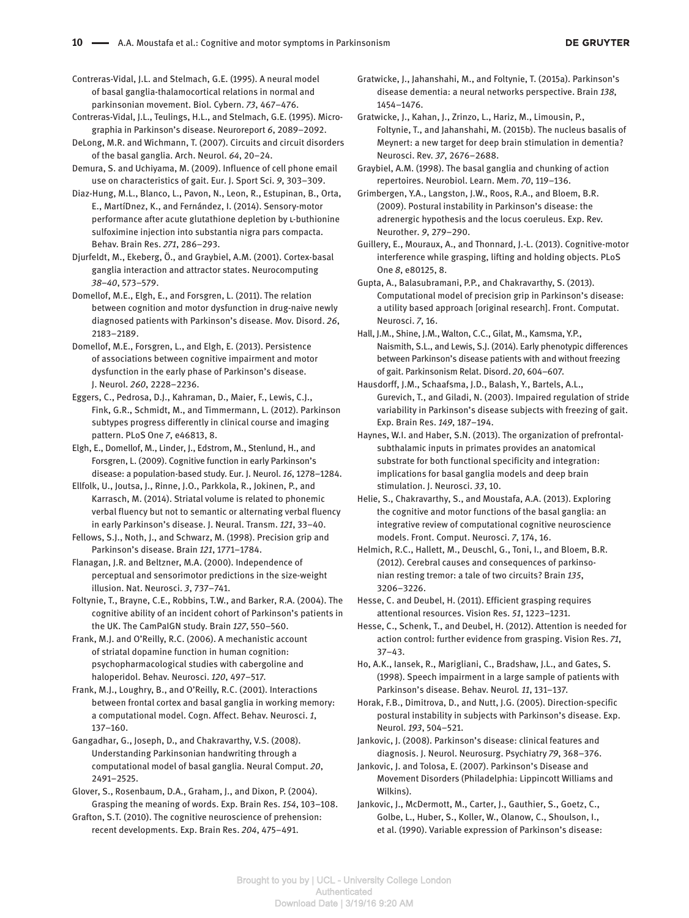Contreras-Vidal, J.L. and Stelmach, G.E. (1995). A neural model of basal ganglia-thalamocortical relations in normal and parkinsonian movement. Biol. Cybern. *73*, 467–476.

Contreras-Vidal, J.L., Teulings, H.L., and Stelmach, G.E. (1995). Micrographia in Parkinson's disease. Neuroreport *6*, 2089–2092.

DeLong, M.R. and Wichmann, T. (2007). Circuits and circuit disorders of the basal ganglia. Arch. Neurol. *64*, 20–24.

Demura, S. and Uchiyama, M. (2009). Influence of cell phone email use on characteristics of gait. Eur. J. Sport Sci. *9*, 303–309.

Diaz-Hung, M.L., Blanco, L., Pavon, N., Leon, R., Estupinan, B., Orta, E., MartíDnez, K., and Fernández, I. (2014). Sensory-motor performance after acute glutathione depletion by l-buthionine sulfoximine injection into substantia nigra pars compacta. Behav. Brain Res. *271*, 286–293.

Djurfeldt, M., Ekeberg, Ö., and Graybiel, A.M. (2001). Cortex-basal ganglia interaction and attractor states. Neurocomputing *38*–*40*, 573–579.

Domellof, M.E., Elgh, E., and Forsgren, L. (2011). The relation between cognition and motor dysfunction in drug-naive newly diagnosed patients with Parkinson's disease. Mov. Disord. *26*, 2183–2189.

Domellof, M.E., Forsgren, L., and Elgh, E. (2013). Persistence of associations between cognitive impairment and motor dysfunction in the early phase of Parkinson's disease. J. Neurol. *260*, 2228–2236.

Eggers, C., Pedrosa, D.J., Kahraman, D., Maier, F., Lewis, C.J., Fink, G.R., Schmidt, M., and Timmermann, L. (2012). Parkinson subtypes progress differently in clinical course and imaging pattern. PLoS One *7*, e46813, 8.

Elgh, E., Domellof, M., Linder, J., Edstrom, M., Stenlund, H., and Forsgren, L. (2009). Cognitive function in early Parkinson's disease: a population-based study. Eur. J. Neurol. *16*, 1278–1284.

Ellfolk, U., Joutsa, J., Rinne, J.O., Parkkola, R., Jokinen, P., and Karrasch, M. (2014). Striatal volume is related to phonemic verbal fluency but not to semantic or alternating verbal fluency in early Parkinson's disease. J. Neural. Transm. *121*, 33–40.

Fellows, S.J., Noth, J., and Schwarz, M. (1998). Precision grip and Parkinson's disease. Brain *121*, 1771–1784.

Flanagan, J.R. and Beltzner, M.A. (2000). Independence of perceptual and sensorimotor predictions in the size-weight illusion. Nat. Neurosci. *3*, 737–741.

Foltynie, T., Brayne, C.E., Robbins, T.W., and Barker, R.A. (2004). The cognitive ability of an incident cohort of Parkinson's patients in the UK. The CamPaIGN study. Brain *127*, 550–560.

Frank, M.J. and O'Reilly, R.C. (2006). A mechanistic account of striatal dopamine function in human cognition: psychopharmacological studies with cabergoline and haloperidol. Behav. Neurosci. *120*, 497–517.

Frank, M.J., Loughry, B., and O'Reilly, R.C. (2001). Interactions between frontal cortex and basal ganglia in working memory: a computational model. Cogn. Affect. Behav. Neurosci. *1*, 137–160.

Gangadhar, G., Joseph, D., and Chakravarthy, V.S. (2008). Understanding Parkinsonian handwriting through a computational model of basal ganglia. Neural Comput. *20*, 2491–2525.

Glover, S., Rosenbaum, D.A., Graham, J., and Dixon, P. (2004). Grasping the meaning of words. Exp. Brain Res. *154*, 103–108.

Grafton, S.T. (2010). The cognitive neuroscience of prehension: recent developments. Exp. Brain Res. *204*, 475–491.

Gratwicke, J., Jahanshahi, M., and Foltynie, T. (2015a). Parkinson's disease dementia: a neural networks perspective. Brain *138*, 1454–1476.

Gratwicke, J., Kahan, J., Zrinzo, L., Hariz, M., Limousin, P., Foltynie, T., and Jahanshahi, M. (2015b). The nucleus basalis of Meynert: a new target for deep brain stimulation in dementia? Neurosci. Rev. *37*, 2676–2688.

Graybiel, A.M. (1998). The basal ganglia and chunking of action repertoires. Neurobiol. Learn. Mem. *70*, 119–136.

Grimbergen, Y.A., Langston, J.W., Roos, R.A., and Bloem, B.R. (2009). Postural instability in Parkinson's disease: the adrenergic hypothesis and the locus coeruleus. Exp. Rev. Neurother. *9*, 279–290.

Guillery, E., Mouraux, A., and Thonnard, J.-L. (2013). Cognitive-motor interference while grasping, lifting and holding objects. PLoS One *8*, e80125, 8.

Gupta, A., Balasubramani, P.P., and Chakravarthy, S. (2013). Computational model of precision grip in Parkinson's disease: a utility based approach [original research]. Front. Computat. Neurosci. *7*, 16.

Hall, J.M., Shine, J.M., Walton, C.C., Gilat, M., Kamsma, Y.P., Naismith, S.L., and Lewis, S.J. (2014). Early phenotypic differences between Parkinson's disease patients with and without freezing of gait. Parkinsonism Relat. Disord. *20*, 604–607.

Hausdorff, J.M., Schaafsma, J.D., Balash, Y., Bartels, A.L., Gurevich, T., and Giladi, N. (2003). Impaired regulation of stride variability in Parkinson's disease subjects with freezing of gait. Exp. Brain Res. *149*, 187–194.

Haynes, W.I. and Haber, S.N. (2013). The organization of prefrontalsubthalamic inputs in primates provides an anatomical substrate for both functional specificity and integration: implications for basal ganglia models and deep brain stimulation. J. Neurosci. *33*, 10.

Helie, S., Chakravarthy, S., and Moustafa, A.A. (2013). Exploring the cognitive and motor functions of the basal ganglia: an integrative review of computational cognitive neuroscience models. Front. Comput. Neurosci. *7*, 174, 16.

Helmich, R.C., Hallett, M., Deuschl, G., Toni, I., and Bloem, B.R. (2012). Cerebral causes and consequences of parkinsonian resting tremor: a tale of two circuits? Brain *135*, 3206–3226.

Hesse, C. and Deubel, H. (2011). Efficient grasping requires attentional resources. Vision Res. *51*, 1223–1231.

Hesse, C., Schenk, T., and Deubel, H. (2012). Attention is needed for action control: further evidence from grasping. Vision Res. *71*, 37–43.

Ho, A.K., Iansek, R., Marigliani, C., Bradshaw, J.L., and Gates, S. (1998). Speech impairment in a large sample of patients with Parkinson's disease. Behav. Neurol*. 11*, 131–137.

Horak, F.B., Dimitrova, D., and Nutt, J.G. (2005). Direction-specific postural instability in subjects with Parkinson's disease. Exp. Neurol. *193*, 504–521.

Jankovic, J. (2008). Parkinson's disease: clinical features and diagnosis. J. Neurol. Neurosurg. Psychiatry *79*, 368–376.

Jankovic, J. and Tolosa, E. (2007). Parkinson's Disease and Movement Disorders (Philadelphia: Lippincott Williams and Wilkins).

Jankovic, J., McDermott, M., Carter, J., Gauthier, S., Goetz, C., Golbe, L., Huber, S., Koller, W., Olanow, C., Shoulson, I., et al. (1990). Variable expression of Parkinson's disease: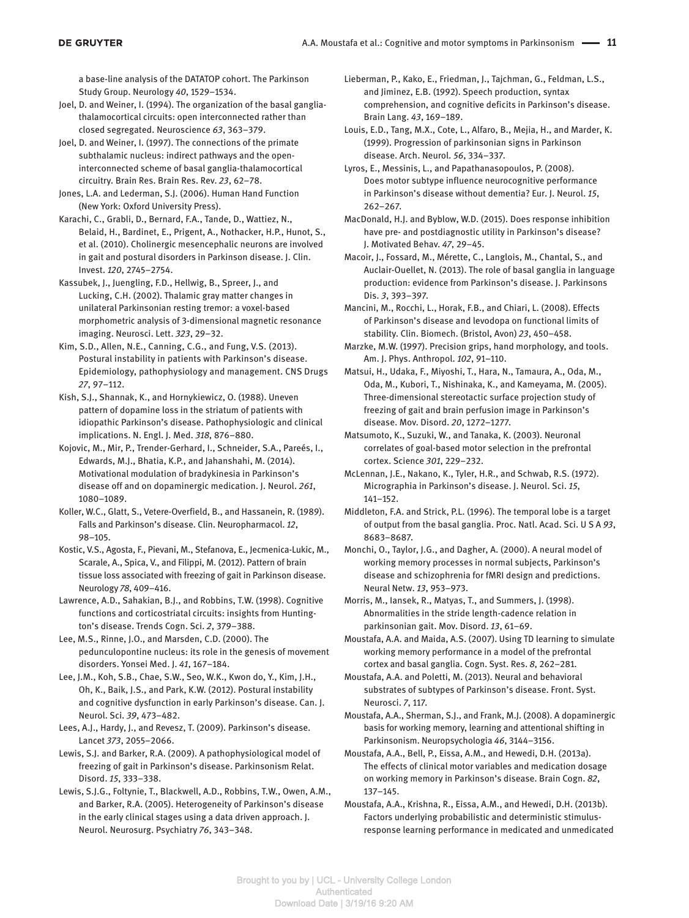a base-line analysis of the DATATOP cohort. The Parkinson Study Group. Neurology *40*, 1529–1534.

- Joel, D. and Weiner, I. (1994). The organization of the basal gangliathalamocortical circuits: open interconnected rather than closed segregated. Neuroscience *63*, 363–379.
- Joel, D. and Weiner, I. (1997). The connections of the primate subthalamic nucleus: indirect pathways and the openinterconnected scheme of basal ganglia-thalamocortical circuitry. Brain Res. Brain Res. Rev. *23*, 62–78.
- Jones, L.A. and Lederman, S.J. (2006). Human Hand Function (New York: Oxford University Press).
- Karachi, C., Grabli, D., Bernard, F.A., Tande, D., Wattiez, N., Belaid, H., Bardinet, E., Prigent, A., Nothacker, H.P., Hunot, S., et al. (2010). Cholinergic mesencephalic neurons are involved in gait and postural disorders in Parkinson disease. J. Clin. Invest. *120*, 2745–2754.
- Kassubek, J., Juengling, F.D., Hellwig, B., Spreer, J., and Lucking, C.H. (2002). Thalamic gray matter changes in unilateral Parkinsonian resting tremor: a voxel-based morphometric analysis of 3-dimensional magnetic resonance imaging. Neurosci. Lett. *323*, 29–32.
- Kim, S.D., Allen, N.E., Canning, C.G., and Fung, V.S. (2013). Postural instability in patients with Parkinson's disease. Epidemiology, pathophysiology and management. CNS Drugs *27*, 97–112.
- Kish, S.J., Shannak, K., and Hornykiewicz, O. (1988). Uneven pattern of dopamine loss in the striatum of patients with idiopathic Parkinson's disease. Pathophysiologic and clinical implications. N. Engl. J. Med. *318*, 876–880.
- Kojovic, M., Mir, P., Trender-Gerhard, I., Schneider, S.A., Pareés, I., Edwards, M.J., Bhatia, K.P., and Jahanshahi, M. (2014). Motivational modulation of bradykinesia in Parkinson's disease off and on dopaminergic medication. J. Neurol. *261*, 1080–1089.
- Koller, W.C., Glatt, S., Vetere-Overfield, B., and Hassanein, R. (1989). Falls and Parkinson's disease. Clin. Neuropharmacol. *12*, 98–105.
- Kostic, V.S., Agosta, F., Pievani, M., Stefanova, E., Jecmenica-Lukic, M., Scarale, A., Spica, V., and Filippi, M. (2012). Pattern of brain tissue loss associated with freezing of gait in Parkinson disease. Neurology *78*, 409–416.
- Lawrence, A.D., Sahakian, B.J., and Robbins, T.W. (1998). Cognitive functions and corticostriatal circuits: insights from Huntington's disease. Trends Cogn. Sci. *2*, 379–388.
- Lee, M.S., Rinne, J.O., and Marsden, C.D. (2000). The pedunculopontine nucleus: its role in the genesis of movement disorders. Yonsei Med. J. *41*, 167–184.
- Lee, J.M., Koh, S.B., Chae, S.W., Seo, W.K., Kwon do, Y., Kim, J.H., Oh, K., Baik, J.S., and Park, K.W. (2012). Postural instability and cognitive dysfunction in early Parkinson's disease. Can. J. Neurol. Sci. *39*, 473–482.
- Lees, A.J., Hardy, J., and Revesz, T. (2009). Parkinson's disease. Lancet *373*, 2055–2066.
- Lewis, S.J. and Barker, R.A. (2009). A pathophysiological model of freezing of gait in Parkinson's disease. Parkinsonism Relat. Disord. *15*, 333–338.
- Lewis, S.J.G., Foltynie, T., Blackwell, A.D., Robbins, T.W., Owen, A.M., and Barker, R.A. (2005). Heterogeneity of Parkinson's disease in the early clinical stages using a data driven approach. J. Neurol. Neurosurg. Psychiatry *76*, 343–348.
- Lieberman, P., Kako, E., Friedman, J., Tajchman, G., Feldman, L.S., and Jiminez, E.B. (1992). Speech production, syntax comprehension, and cognitive deficits in Parkinson's disease. Brain Lang. *43*, 169–189.
- Louis, E.D., Tang, M.X., Cote, L., Alfaro, B., Mejia, H., and Marder, K. (1999). Progression of parkinsonian signs in Parkinson disease. Arch. Neurol. *56*, 334–337.
- Lyros, E., Messinis, L., and Papathanasopoulos, P. (2008). Does motor subtype influence neurocognitive performance in Parkinson's disease without dementia? Eur. J. Neurol. *15*, 262–267.
- MacDonald, H.J. and Byblow, W.D. (2015). Does response inhibition have pre- and postdiagnostic utility in Parkinson's disease? J. Motivated Behav. *47*, 29–45.
- Macoir, J., Fossard, M., Mérette, C., Langlois, M., Chantal, S., and Auclair-Ouellet, N. (2013). The role of basal ganglia in language production: evidence from Parkinson's disease. J. Parkinsons Dis. *3*, 393–397.
- Mancini, M., Rocchi, L., Horak, F.B., and Chiari, L. (2008). Effects of Parkinson's disease and levodopa on functional limits of stability. Clin. Biomech. (Bristol, Avon) *23*, 450–458.
- Marzke, M.W. (1997). Precision grips, hand morphology, and tools. Am. J. Phys. Anthropol. *102*, 91–110.
- Matsui, H., Udaka, F., Miyoshi, T., Hara, N., Tamaura, A., Oda, M., Oda, M., Kubori, T., Nishinaka, K., and Kameyama, M. (2005). Three-dimensional stereotactic surface projection study of freezing of gait and brain perfusion image in Parkinson's disease. Mov. Disord. *20*, 1272–1277.
- Matsumoto, K., Suzuki, W., and Tanaka, K. (2003). Neuronal correlates of goal-based motor selection in the prefrontal cortex. Science *301*, 229–232.
- McLennan, J.E., Nakano, K., Tyler, H.R., and Schwab, R.S. (1972). Micrographia in Parkinson's disease. J. Neurol. Sci. *15*, 141–152.
- Middleton, F.A. and Strick, P.L. (1996). The temporal lobe is a target of output from the basal ganglia. Proc. Natl. Acad. Sci. U S A *93*, 8683–8687.
- Monchi, O., Taylor, J.G., and Dagher, A. (2000). A neural model of working memory processes in normal subjects, Parkinson's disease and schizophrenia for fMRI design and predictions. Neural Netw. *13*, 953–973.
- Morris, M., Iansek, R., Matyas, T., and Summers, J. (1998). Abnormalities in the stride length-cadence relation in parkinsonian gait. Mov. Disord. *13*, 61–69.
- Moustafa, A.A. and Maida, A.S. (2007). Using TD learning to simulate working memory performance in a model of the prefrontal cortex and basal ganglia. Cogn. Syst. Res. *8*, 262–281.
- Moustafa, A.A. and Poletti, M. (2013). Neural and behavioral substrates of subtypes of Parkinson's disease. Front. Syst. Neurosci. *7*, 117.
- Moustafa, A.A., Sherman, S.J., and Frank, M.J. (2008). A dopaminergic basis for working memory, learning and attentional shifting in Parkinsonism. Neuropsychologia *46*, 3144–3156.
- Moustafa, A.A., Bell, P., Eissa, A.M., and Hewedi, D.H. (2013a). The effects of clinical motor variables and medication dosage on working memory in Parkinson's disease. Brain Cogn. *82*, 137–145.
- Moustafa, A.A., Krishna, R., Eissa, A.M., and Hewedi, D.H. (2013b). Factors underlying probabilistic and deterministic stimulusresponse learning performance in medicated and unmedicated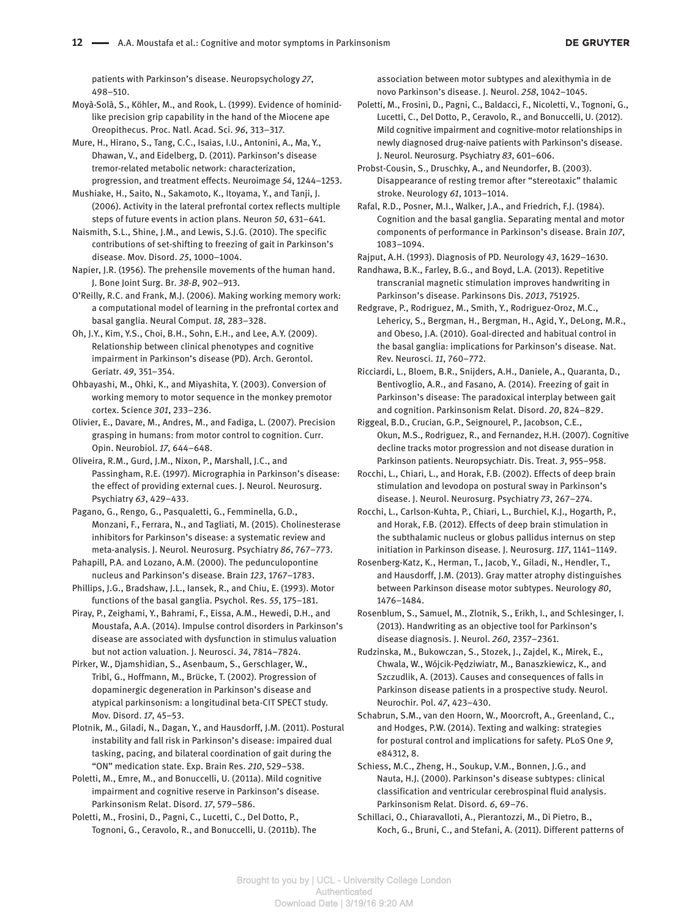patients with Parkinson's disease. Neuropsychology *27*, 498–510.

Moyà-Solà, S., Köhler, M., and Rook, L. (1999). Evidence of hominidlike precision grip capability in the hand of the Miocene ape Oreopithecus. Proc. Natl. Acad. Sci. *96*, 313–317.

Mure, H., Hirano, S., Tang, C.C., Isaias, I.U., Antonini, A., Ma, Y., Dhawan, V., and Eidelberg, D. (2011). Parkinson's disease tremor-related metabolic network: characterization, progression, and treatment effects. Neuroimage *54*, 1244–1253.

Mushiake, H., Saito, N., Sakamoto, K., Itoyama, Y., and Tanji, J. (2006). Activity in the lateral prefrontal cortex reflects multiple steps of future events in action plans. Neuron *50*, 631–641.

Naismith, S.L., Shine, J.M., and Lewis, S.J.G. (2010). The specific contributions of set-shifting to freezing of gait in Parkinson's disease. Mov. Disord. *25*, 1000–1004.

Napier, J.R. (1956). The prehensile movements of the human hand. J. Bone Joint Surg. Br. *38-B*, 902–913.

O'Reilly, R.C. and Frank, M.J. (2006). Making working memory work: a computational model of learning in the prefrontal cortex and basal ganglia. Neural Comput. *18*, 283–328.

Oh, J.Y., Kim, Y.S., Choi, B.H., Sohn, E.H., and Lee, A.Y. (2009). Relationship between clinical phenotypes and cognitive impairment in Parkinson's disease (PD). Arch. Gerontol. Geriatr. *49*, 351–354.

Ohbayashi, M., Ohki, K., and Miyashita, Y. (2003). Conversion of working memory to motor sequence in the monkey premotor cortex. Science *301*, 233–236.

Olivier, E., Davare, M., Andres, M., and Fadiga, L. (2007). Precision grasping in humans: from motor control to cognition. Curr. Opin. Neurobiol. *17*, 644–648.

Oliveira, R.M., Gurd, J.M., Nixon, P., Marshall, J.C., and Passingham, R.E. (1997). Micrographia in Parkinson's disease: the effect of providing external cues. J. Neurol. Neurosurg. Psychiatry *63*, 429–433.

Pagano, G., Rengo, G., Pasqualetti, G., Femminella, G.D., Monzani, F., Ferrara, N., and Tagliati, M. (2015). Cholinesterase inhibitors for Parkinson's disease: a systematic review and meta-analysis. J. Neurol. Neurosurg. Psychiatry *86*, 767–773.

Pahapill, P.A. and Lozano, A.M. (2000). The pedunculopontine nucleus and Parkinson's disease. Brain *123*, 1767–1783.

Phillips, J.G., Bradshaw, J.L., Iansek, R., and Chiu, E. (1993). Motor functions of the basal ganglia. Psychol. Res. *55*, 175–181.

Piray, P., Zeighami, Y., Bahrami, F., Eissa, A.M., Hewedi, D.H., and Moustafa, A.A. (2014). Impulse control disorders in Parkinson's disease are associated with dysfunction in stimulus valuation but not action valuation. J. Neurosci. *34*, 7814–7824.

Pirker, W., Djamshidian, S., Asenbaum, S., Gerschlager, W., Tribl, G., Hoffmann, M., Brücke, T. (2002). Progression of dopaminergic degeneration in Parkinson's disease and atypical parkinsonism: a longitudinal beta-CIT SPECT study. Mov. Disord. *17*, 45–53.

Plotnik, M., Giladi, N., Dagan, Y., and Hausdorff, J.M. (2011). Postural instability and fall risk in Parkinson's disease: impaired dual tasking, pacing, and bilateral coordination of gait during the "ON" medication state. Exp. Brain Res. *210*, 529–538.

Poletti, M., Emre, M., and Bonuccelli, U. (2011a). Mild cognitive impairment and cognitive reserve in Parkinson's disease. Parkinsonism Relat. Disord. *17*, 579–586.

Poletti, M., Frosini, D., Pagni, C., Lucetti, C., Del Dotto, P., Tognoni, G., Ceravolo, R., and Bonuccelli, U. (2011b). The association between motor subtypes and alexithymia in de novo Parkinson's disease. J. Neurol. *258*, 1042–1045.

Poletti, M., Frosini, D., Pagni, C., Baldacci, F., Nicoletti, V., Tognoni, G., Lucetti, C., Del Dotto, P., Ceravolo, R., and Bonuccelli, U. (2012). Mild cognitive impairment and cognitive-motor relationships in newly diagnosed drug-naive patients with Parkinson's disease. J. Neurol. Neurosurg. Psychiatry *83*, 601–606.

Probst-Cousin, S., Druschky, A., and Neundorfer, B. (2003). Disappearance of resting tremor after "stereotaxic" thalamic stroke. Neurology *61*, 1013–1014.

Rafal, R.D., Posner, M.I., Walker, J.A., and Friedrich, F.J. (1984). Cognition and the basal ganglia. Separating mental and motor components of performance in Parkinson's disease. Brain *107*, 1083–1094.

Rajput, A.H. (1993). Diagnosis of PD. Neurology *43*, 1629–1630.

Randhawa, B.K., Farley, B.G., and Boyd, L.A. (2013). Repetitive transcranial magnetic stimulation improves handwriting in Parkinson's disease. Parkinsons Dis. *2013*, 751925.

Redgrave, P., Rodriguez, M., Smith, Y., Rodriguez-Oroz, M.C., Lehericy, S., Bergman, H., Bergman, H., Agid, Y., DeLong, M.R., and Obeso, J.A. (2010). Goal-directed and habitual control in the basal ganglia: implications for Parkinson's disease. Nat. Rev. Neurosci. *11*, 760–772.

Ricciardi, L., Bloem, B.R., Snijders, A.H., Daniele, A., Quaranta, D., Bentivoglio, A.R., and Fasano, A. (2014). Freezing of gait in Parkinson's disease: The paradoxical interplay between gait and cognition. Parkinsonism Relat. Disord. *20*, 824–829.

Riggeal, B.D., Crucian, G.P., Seignourel, P., Jacobson, C.E., Okun, M.S., Rodriguez, R., and Fernandez, H.H. (2007). Cognitive decline tracks motor progression and not disease duration in Parkinson patients. Neuropsychiatr. Dis. Treat. *3*, 955–958.

Rocchi, L., Chiari, L., and Horak, F.B. (2002). Effects of deep brain stimulation and levodopa on postural sway in Parkinson's disease. J. Neurol. Neurosurg. Psychiatry *73*, 267–274.

Rocchi, L., Carlson-Kuhta, P., Chiari, L., Burchiel, K.J., Hogarth, P., and Horak, F.B. (2012). Effects of deep brain stimulation in the subthalamic nucleus or globus pallidus internus on step initiation in Parkinson disease. J. Neurosurg. *117*, 1141–1149.

Rosenberg-Katz, K., Herman, T., Jacob, Y., Giladi, N., Hendler, T., and Hausdorff, J.M. (2013). Gray matter atrophy distinguishes between Parkinson disease motor subtypes. Neurology *80*, 1476–1484.

Rosenblum, S., Samuel, M., Zlotnik, S., Erikh, I., and Schlesinger, I. (2013). Handwriting as an objective tool for Parkinson's disease diagnosis. J. Neurol. *260*, 2357–2361.

Rudzinska, M., Bukowczan, S., Stozek, J., Zajdel, K., Mirek, E., Chwala, W., Wójcik-Pędziwiatr, M., Banaszkiewicz, K., and Szczudlik, A. (2013). Causes and consequences of falls in Parkinson disease patients in a prospective study. Neurol. Neurochir. Pol. *47*, 423–430.

Schabrun, S.M., van den Hoorn, W., Moorcroft, A., Greenland, C., and Hodges, P.W. (2014). Texting and walking: strategies for postural control and implications for safety. PLoS One *9*, e84312, 8.

Schiess, M.C., Zheng, H., Soukup, V.M., Bonnen, J.G., and Nauta, H.J. (2000). Parkinson's disease subtypes: clinical classification and ventricular cerebrospinal fluid analysis. Parkinsonism Relat. Disord. *6*, 69–76.

Schillaci, O., Chiaravalloti, A., Pierantozzi, M., Di Pietro, B., Koch, G., Bruni, C., and Stefani, A. (2011). Different patterns of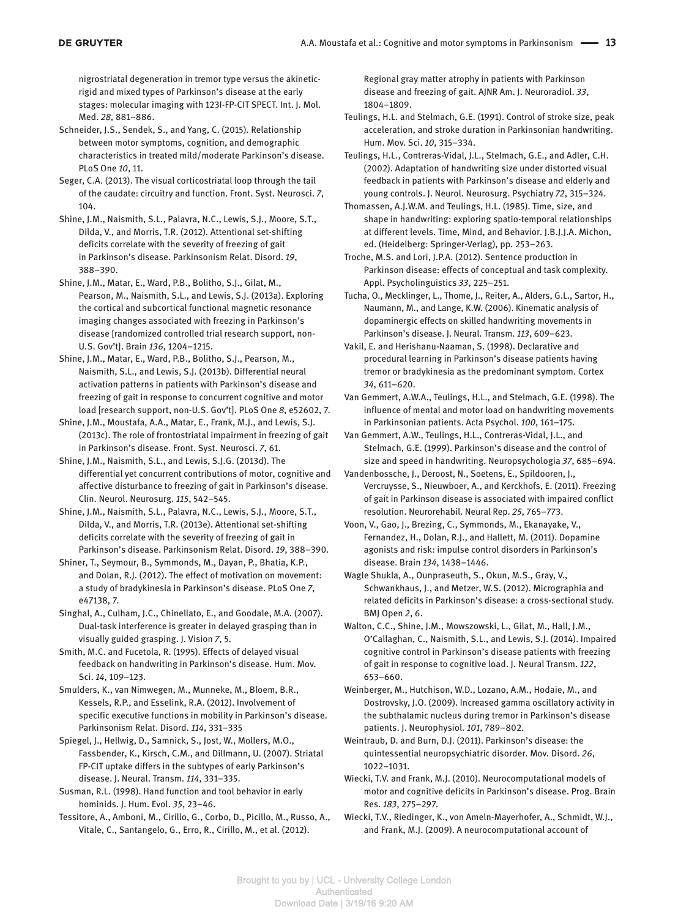nigrostriatal degeneration in tremor type versus the akineticrigid and mixed types of Parkinson's disease at the early stages: molecular imaging with 123I-FP-CIT SPECT. Int. J. Mol. Med. *28*, 881–886.

Schneider, J.S., Sendek, S., and Yang, C. (2015). Relationship between motor symptoms, cognition, and demographic characteristics in treated mild/moderate Parkinson's disease. PLoS One *10*, 11.

Seger, C.A. (2013). The visual corticostriatal loop through the tail of the caudate: circuitry and function. Front. Syst. Neurosci. *7*, 104.

Shine, J.M., Naismith, S.L., Palavra, N.C., Lewis, S.J., Moore, S.T., Dilda, V., and Morris, T.R. (2012). Attentional set-shifting deficits correlate with the severity of freezing of gait in Parkinson's disease. Parkinsonism Relat. Disord. *19*, 388–390.

Shine, J.M., Matar, E., Ward, P.B., Bolitho, S.J., Gilat, M., Pearson, M., Naismith, S.L., and Lewis, S.J. (2013a). Exploring the cortical and subcortical functional magnetic resonance imaging changes associated with freezing in Parkinson's disease [randomized controlled trial research support, non-U.S. Gov't]. Brain *136*, 1204–1215.

Shine, J.M., Matar, E., Ward, P.B., Bolitho, S.J., Pearson, M., Naismith, S.L., and Lewis, S.J. (2013b). Differential neural activation patterns in patients with Parkinson's disease and freezing of gait in response to concurrent cognitive and motor load [research support, non-U.S. Gov't]. PLoS One *8*, e52602, 7.

Shine, J.M., Moustafa, A.A., Matar, E., Frank, M.J., and Lewis, S.J. (2013c). The role of frontostriatal impairment in freezing of gait in Parkinson's disease. Front. Syst. Neurosci. *7*, 61.

Shine, J.M., Naismith, S.L., and Lewis, S.J.G. (2013d). The differential yet concurrent contributions of motor, cognitive and affective disturbance to freezing of gait in Parkinson's disease. Clin. Neurol. Neurosurg. *115*, 542–545.

Shine, J.M., Naismith, S.L., Palavra, N.C., Lewis, S.J., Moore, S.T., Dilda, V., and Morris, T.R. (2013e). Attentional set-shifting deficits correlate with the severity of freezing of gait in Parkinson's disease. Parkinsonism Relat. Disord. *19*, 388–390.

Shiner, T., Seymour, B., Symmonds, M., Dayan, P., Bhatia, K.P., and Dolan, R.J. (2012). The effect of motivation on movement: a study of bradykinesia in Parkinson's disease. PLoS One *7*, e47138, 7.

Singhal, A., Culham, J.C., Chinellato, E., and Goodale, M.A. (2007). Dual-task interference is greater in delayed grasping than in visually guided grasping. J. Vision *7*, 5.

Smith, M.C. and Fucetola, R. (1995). Effects of delayed visual feedback on handwriting in Parkinson's disease. Hum. Mov. Sci. *14*, 109–123.

Smulders, K., van Nimwegen, M., Munneke, M., Bloem, B.R., Kessels, R.P., and Esselink, R.A. (2012). Involvement of specific executive functions in mobility in Parkinson's disease. Parkinsonism Relat. Disord. *114*, 331–335

Spiegel, J., Hellwig, D., Samnick, S., Jost, W., Mollers, M.O., Fassbender, K., Kirsch, C.M., and Dillmann, U. (2007). Striatal FP-CIT uptake differs in the subtypes of early Parkinson's disease. J. Neural. Transm. *114*, 331–335.

Susman, R.L. (1998). Hand function and tool behavior in early hominids. J. Hum. Evol. *35*, 23–46.

Tessitore, A., Amboni, M., Cirillo, G., Corbo, D., Picillo, M., Russo, A., Vitale, C., Santangelo, G., Erro, R., Cirillo, M., et al. (2012).

Regional gray matter atrophy in patients with Parkinson disease and freezing of gait. AJNR Am. J. Neuroradiol. *33*, 1804–1809.

Teulings, H.L. and Stelmach, G.E. (1991). Control of stroke size, peak acceleration, and stroke duration in Parkinsonian handwriting. Hum. Mov. Sci. *10*, 315–334.

Teulings, H.L., Contreras-Vidal, J.L., Stelmach, G.E., and Adler, C.H. (2002). Adaptation of handwriting size under distorted visual feedback in patients with Parkinson's disease and elderly and young controls. J. Neurol. Neurosurg. Psychiatry *72*, 315–324.

Thomassen, A.J.W.M. and Teulings, H.L. (1985). Time, size, and shape in handwriting: exploring spatio-temporal relationships at different levels. Time, Mind, and Behavior. J.B.J.J.A. Michon, ed. (Heidelberg: Springer-Verlag), pp. 253–263.

Troche, M.S. and Lori, J.P.A. (2012). Sentence production in Parkinson disease: effects of conceptual and task complexity. Appl. Psycholinguistics *33*, 225–251.

Tucha, O., Mecklinger, L., Thome, J., Reiter, A., Alders, G.L., Sartor, H., Naumann, M., and Lange, K.W. (2006). Kinematic analysis of dopaminergic effects on skilled handwriting movements in Parkinson's disease. J. Neural. Transm. *113*, 609–623.

Vakil, E. and Herishanu-Naaman, S. (1998). Declarative and procedural learning in Parkinson's disease patients having tremor or bradykinesia as the predominant symptom. Cortex *34*, 611–620.

Van Gemmert, A.W.A., Teulings, H.L., and Stelmach, G.E. (1998). The influence of mental and motor load on handwriting movements in Parkinsonian patients. Acta Psychol. *100*, 161–175.

Van Gemmert, A.W., Teulings, H.L., Contreras-Vidal, J.L., and Stelmach, G.E. (1999). Parkinson's disease and the control of size and speed in handwriting. Neuropsychologia *37*, 685–694.

Vandenbossche, J., Deroost, N., Soetens, E., Spildooren, J., Vercruysse, S., Nieuwboer, A., and Kerckhofs, E. (2011). Freezing of gait in Parkinson disease is associated with impaired conflict resolution. Neurorehabil. Neural Rep. *25*, 765–773.

Voon, V., Gao, J., Brezing, C., Symmonds, M., Ekanayake, V., Fernandez, H., Dolan, R.J., and Hallett, M. (2011). Dopamine agonists and risk: impulse control disorders in Parkinson's disease. Brain *134*, 1438–1446.

Wagle Shukla, A., Ounpraseuth, S., Okun, M.S., Gray, V., Schwankhaus, J., and Metzer, W.S. (2012). Micrographia and related deficits in Parkinson's disease: a cross-sectional study. BMJ Open *2*, 6.

Walton, C.C., Shine, J.M., Mowszowski, L., Gilat, M., Hall, J.M., O'Callaghan, C., Naismith, S.L., and Lewis, S.J. (2014). Impaired cognitive control in Parkinson's disease patients with freezing of gait in response to cognitive load. J. Neural Transm. *122*, 653–660.

Weinberger, M., Hutchison, W.D., Lozano, A.M., Hodaie, M., and Dostrovsky, J.O. (2009). Increased gamma oscillatory activity in the subthalamic nucleus during tremor in Parkinson's disease patients. J. Neurophysiol. *101*, 789–802.

Weintraub, D. and Burn, D.J. (2011). Parkinson's disease: the quintessential neuropsychiatric disorder. Mov. Disord. *26*, 1022–1031.

Wiecki, T.V. and Frank, M.J. (2010). Neurocomputational models of motor and cognitive deficits in Parkinson's disease. Prog. Brain Res. *183*, 275–297.

Wiecki, T.V., Riedinger, K., von Ameln-Mayerhofer, A., Schmidt, W.J., and Frank, M.J. (2009). A neurocomputational account of